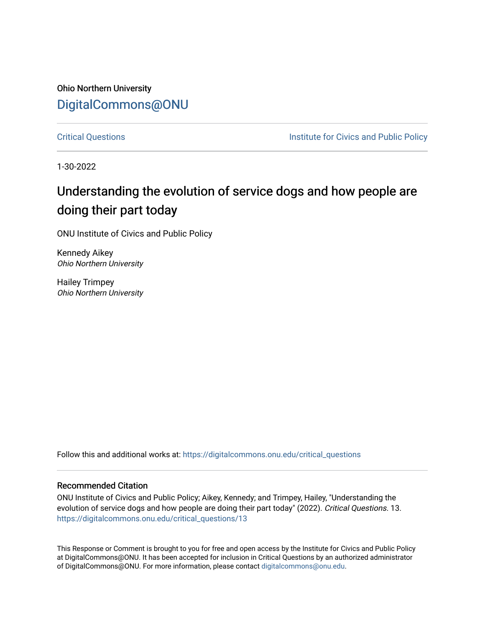Ohio Northern University [DigitalCommons@ONU](https://digitalcommons.onu.edu/) 

[Critical Questions](https://digitalcommons.onu.edu/critical_questions) **Institute for Civics and Public Policy** 

1-30-2022

# Understanding the evolution of service dogs and how people are doing their part today

ONU Institute of Civics and Public Policy

Kennedy Aikey Ohio Northern University

Hailey Trimpey Ohio Northern University

Follow this and additional works at: [https://digitalcommons.onu.edu/critical\\_questions](https://digitalcommons.onu.edu/critical_questions?utm_source=digitalcommons.onu.edu%2Fcritical_questions%2F13&utm_medium=PDF&utm_campaign=PDFCoverPages) 

#### Recommended Citation

ONU Institute of Civics and Public Policy; Aikey, Kennedy; and Trimpey, Hailey, "Understanding the evolution of service dogs and how people are doing their part today" (2022). Critical Questions. 13. [https://digitalcommons.onu.edu/critical\\_questions/13](https://digitalcommons.onu.edu/critical_questions/13?utm_source=digitalcommons.onu.edu%2Fcritical_questions%2F13&utm_medium=PDF&utm_campaign=PDFCoverPages)

This Response or Comment is brought to you for free and open access by the Institute for Civics and Public Policy at DigitalCommons@ONU. It has been accepted for inclusion in Critical Questions by an authorized administrator of DigitalCommons@ONU. For more information, please contact [digitalcommons@onu.edu](mailto:digitalcommons@onu.edu).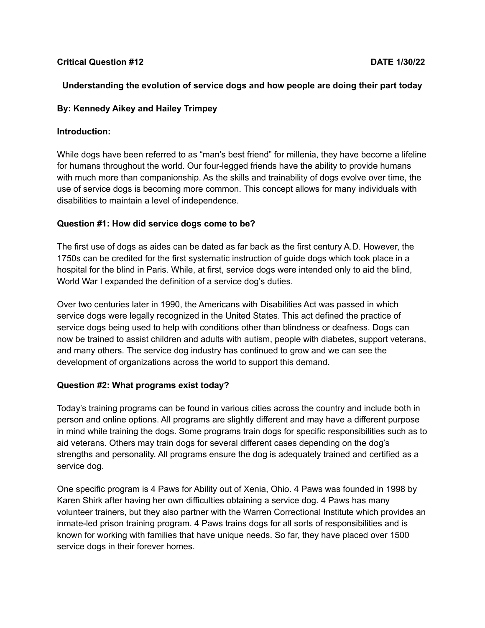## **Critical Question #12 DATE 1/30/22**

### **Understanding the evolution of service dogs and how people are doing their part today**

### **By: Kennedy Aikey and Hailey Trimpey**

#### **Introduction:**

While dogs have been referred to as "man's best friend" for millenia, they have become a lifeline for humans throughout the world. Our four-legged friends have the ability to provide humans with much more than companionship. As the skills and trainability of dogs evolve over time, the use of service dogs is becoming more common. This concept allows for many individuals with disabilities to maintain a level of independence.

#### **Question #1: How did service dogs come to be?**

The first use of dogs as aides can be dated as far back as the first century A.D. However, the 1750s can be credited for the first systematic instruction of guide dogs which took place in a hospital for the blind in Paris. While, at first, service dogs were intended only to aid the blind, World War I expanded the definition of a service dog's duties.

Over two centuries later in 1990, the Americans with Disabilities Act was passed in which service dogs were legally recognized in the United States. This act defined the practice of service dogs being used to help with conditions other than blindness or deafness. Dogs can now be trained to assist children and adults with autism, people with diabetes, support veterans, and many others. The service dog industry has continued to grow and we can see the development of organizations across the world to support this demand.

#### **Question #2: What programs exist today?**

Today's training programs can be found in various cities across the country and include both in person and online options. All programs are slightly different and may have a different purpose in mind while training the dogs. Some programs train dogs for specific responsibilities such as to aid veterans. Others may train dogs for several different cases depending on the dog's strengths and personality. All programs ensure the dog is adequately trained and certified as a service dog.

One specific program is 4 Paws for Ability out of Xenia, Ohio. 4 Paws was founded in 1998 by Karen Shirk after having her own difficulties obtaining a service dog. 4 Paws has many volunteer trainers, but they also partner with the Warren Correctional Institute which provides an inmate-led prison training program. 4 Paws trains dogs for all sorts of responsibilities and is known for working with families that have unique needs. So far, they have placed over 1500 service dogs in their forever homes.